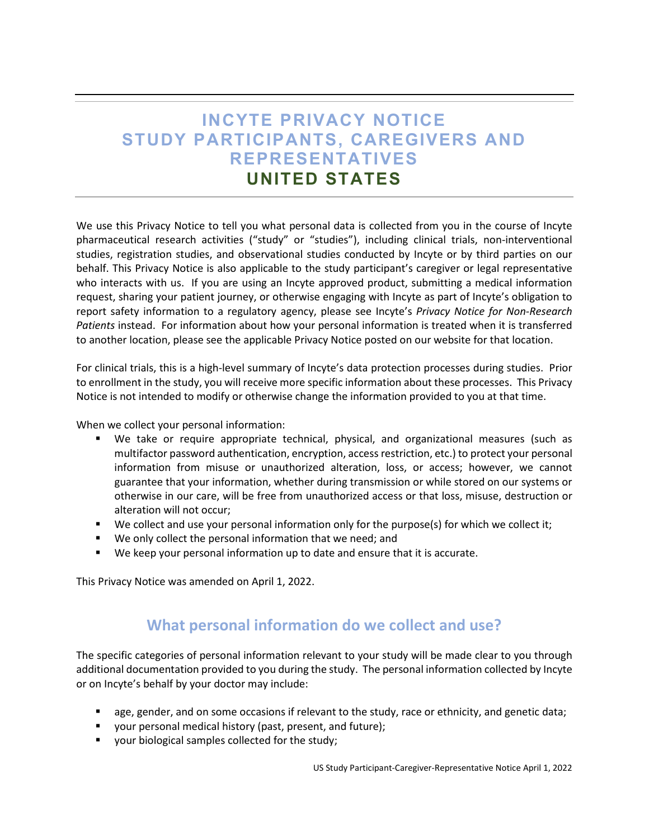# **INCYTE PRIVACY NOTICE STUDY PARTICIPANTS, CAREGIVERS AND REPRESENTATIVES UNITED STATES**

We use this Privacy Notice to tell you what personal data is collected from you in the course of Incyte pharmaceutical research activities ("study" or "studies"), including clinical trials, non-interventional studies, registration studies, and observational studies conducted by Incyte or by third parties on our behalf. This Privacy Notice is also applicable to the study participant's caregiver or legal representative who interacts with us. If you are using an Incyte approved product, submitting a medical information request, sharing your patient journey, or otherwise engaging with Incyte as part of Incyte's obligation to report safety information to a regulatory agency, please see Incyte's *Privacy Notice for Non-Research Patients* instead. For information about how your personal information is treated when it is transferred to another location, please see the applicable Privacy Notice posted on our website for that location.

For clinical trials, this is a high-level summary of Incyte's data protection processes during studies. Prior to enrollment in the study, you will receive more specific information about these processes. This Privacy Notice is not intended to modify or otherwise change the information provided to you at that time.

When we collect your personal information:

- We take or require appropriate technical, physical, and organizational measures (such as multifactor password authentication, encryption, access restriction, etc.) to protect your personal information from misuse or unauthorized alteration, loss, or access; however, we cannot guarantee that your information, whether during transmission or while stored on our systems or otherwise in our care, will be free from unauthorized access or that loss, misuse, destruction or alteration will not occur;
- We collect and use your personal information only for the purpose(s) for which we collect it;
- We only collect the personal information that we need; and
- We keep your personal information up to date and ensure that it is accurate.

This Privacy Notice was amended on April 1, 2022.

#### **What personal information do we collect and use?**

The specific categories of personal information relevant to your study will be made clear to you through additional documentation provided to you during the study. The personal information collected by Incyte or on Incyte's behalf by your doctor may include:

- age, gender, and on some occasions if relevant to the study, race or ethnicity, and genetic data;
- your personal medical history (past, present, and future);
- **verture** your biological samples collected for the study;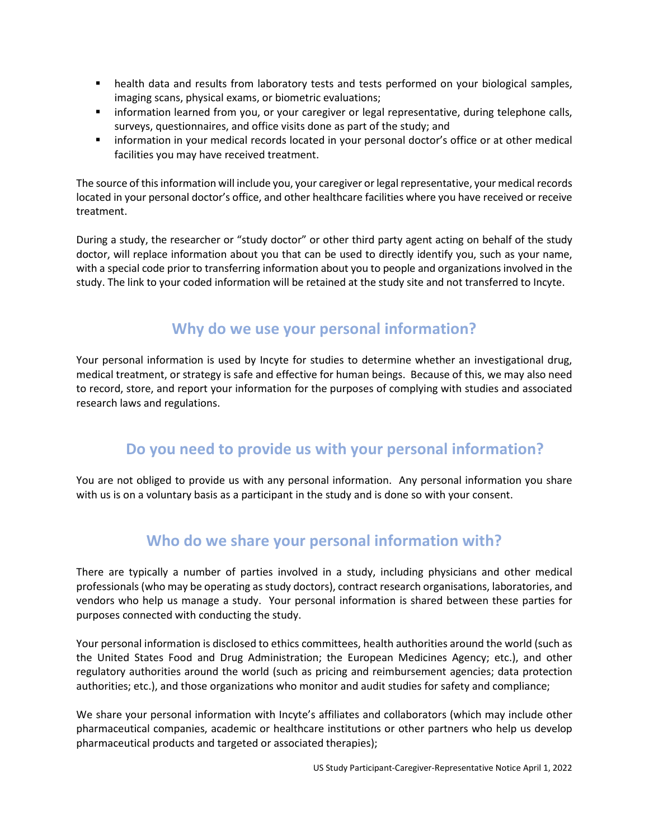- **EXECT** health data and results from laboratory tests and tests performed on your biological samples, imaging scans, physical exams, or biometric evaluations;
- **Information learned from you, or your caregiver or legal representative, during telephone calls,** surveys, questionnaires, and office visits done as part of the study; and
- information in your medical records located in your personal doctor's office or at other medical facilities you may have received treatment.

The source of this information will include you, your caregiver or legal representative, your medical records located in your personal doctor's office, and other healthcare facilities where you have received or receive treatment.

During a study, the researcher or "study doctor" or other third party agent acting on behalf of the study doctor, will replace information about you that can be used to directly identify you, such as your name, with a special code prior to transferring information about you to people and organizations involved in the study. The link to your coded information will be retained at the study site and not transferred to Incyte.

# **Why do we use your personal information?**

Your personal information is used by Incyte for studies to determine whether an investigational drug, medical treatment, or strategy is safe and effective for human beings. Because of this, we may also need to record, store, and report your information for the purposes of complying with studies and associated research laws and regulations.

## **Do you need to provide us with your personal information?**

You are not obliged to provide us with any personal information. Any personal information you share with us is on a voluntary basis as a participant in the study and is done so with your consent.

## **Who do we share your personal information with?**

There are typically a number of parties involved in a study, including physicians and other medical professionals (who may be operating as study doctors), contract research organisations, laboratories, and vendors who help us manage a study. Your personal information is shared between these parties for purposes connected with conducting the study.

Your personal information is disclosed to ethics committees, health authorities around the world (such as the United States Food and Drug Administration; the European Medicines Agency; etc.), and other regulatory authorities around the world (such as pricing and reimbursement agencies; data protection authorities; etc.), and those organizations who monitor and audit studies for safety and compliance;

We share your personal information with Incyte's affiliates and collaborators (which may include other pharmaceutical companies, academic or healthcare institutions or other partners who help us develop pharmaceutical products and targeted or associated therapies);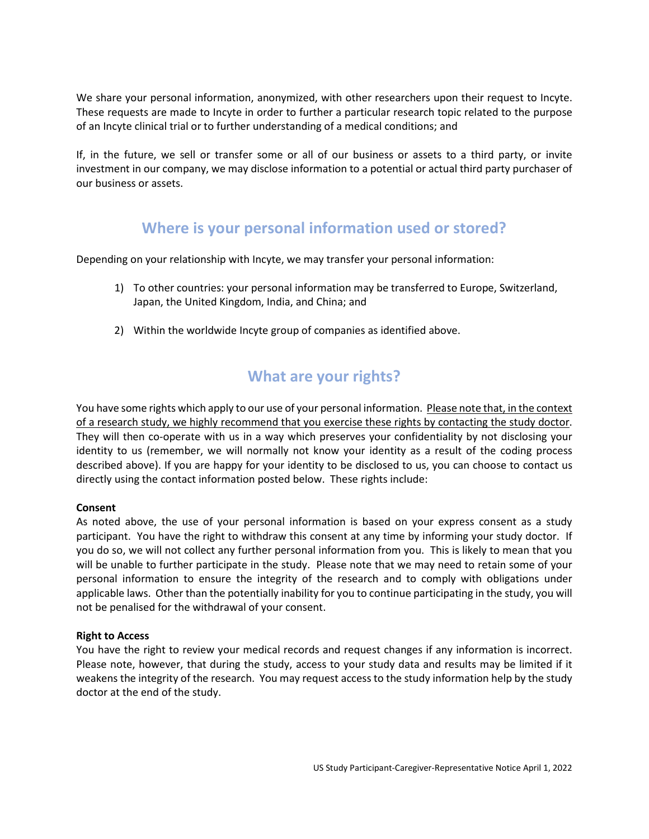We share your personal information, anonymized, with other researchers upon their request to Incyte. These requests are made to Incyte in order to further a particular research topic related to the purpose of an Incyte clinical trial or to further understanding of a medical conditions; and

If, in the future, we sell or transfer some or all of our business or assets to a third party, or invite investment in our company, we may disclose information to a potential or actual third party purchaser of our business or assets.

#### **Where is your personal information used or stored?**

Depending on your relationship with Incyte, we may transfer your personal information:

- 1) To other countries: your personal information may be transferred to Europe, Switzerland, Japan, the United Kingdom, India, and China; and
- 2) Within the worldwide Incyte group of companies as identified above.

## **What are your rights?**

You have some rights which apply to our use of your personal information. Please note that, in the context of a research study, we highly recommend that you exercise these rights by contacting the study doctor. They will then co-operate with us in a way which preserves your confidentiality by not disclosing your identity to us (remember, we will normally not know your identity as a result of the coding process described above). If you are happy for your identity to be disclosed to us, you can choose to contact us directly using the contact information posted below. These rights include:

#### **Consent**

As noted above, the use of your personal information is based on your express consent as a study participant. You have the right to withdraw this consent at any time by informing your study doctor. If you do so, we will not collect any further personal information from you. This is likely to mean that you will be unable to further participate in the study. Please note that we may need to retain some of your personal information to ensure the integrity of the research and to comply with obligations under applicable laws. Other than the potentially inability for you to continue participating in the study, you will not be penalised for the withdrawal of your consent.

#### **Right to Access**

You have the right to review your medical records and request changes if any information is incorrect. Please note, however, that during the study, access to your study data and results may be limited if it weakens the integrity of the research. You may request access to the study information help by the study doctor at the end of the study.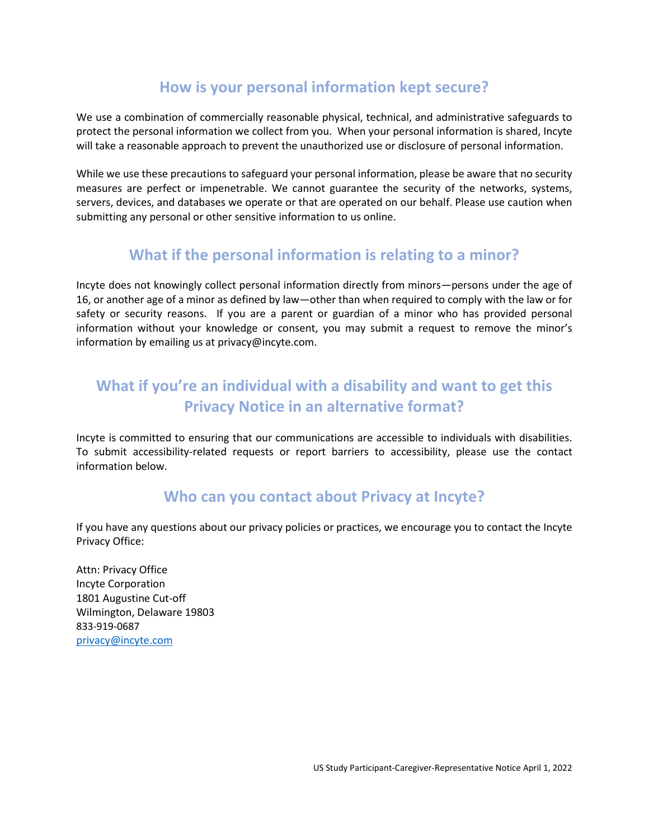## **How is your personal information kept secure?**

We use a combination of commercially reasonable physical, technical, and administrative safeguards to protect the personal information we collect from you. When your personal information is shared, Incyte will take a reasonable approach to prevent the unauthorized use or disclosure of personal information.

While we use these precautions to safeguard your personal information, please be aware that no security measures are perfect or impenetrable. We cannot guarantee the security of the networks, systems, servers, devices, and databases we operate or that are operated on our behalf. Please use caution when submitting any personal or other sensitive information to us online.

#### **What if the personal information is relating to a minor?**

Incyte does not knowingly collect personal information directly from minors—persons under the age of 16, or another age of a minor as defined by law—other than when required to comply with the law or for safety or security reasons. If you are a parent or guardian of a minor who has provided personal information without your knowledge or consent, you may submit a request to remove the minor's information by emailing us at privacy@incyte.com.

# **What if you're an individual with a disability and want to get this Privacy Notice in an alternative format?**

Incyte is committed to ensuring that our communications are accessible to individuals with disabilities. To submit accessibility-related requests or report barriers to accessibility, please use the contact information below.

#### **Who can you contact about Privacy at Incyte?**

If you have any questions about our privacy policies or practices, we encourage you to contact the Incyte Privacy Office:

Attn: Privacy Office Incyte Corporation 1801 Augustine Cut-off Wilmington, Delaware 19803 833-919-0687 [privacy@incyte.com](mailto:privacy@incyte.com)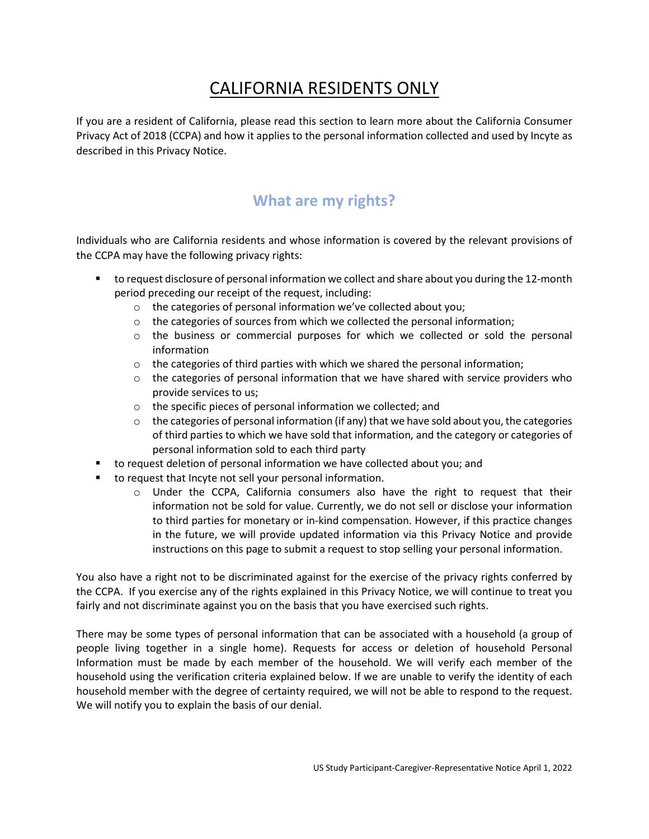# CALIFORNIA RESIDENTS ONLY

If you are a resident of California, please read this section to learn more about the California Consumer Privacy Act of 2018 (CCPA) and how it applies to the personal information collected and used by Incyte as described in this Privacy Notice.

## **What are my rights?**

Individuals who are California residents and whose information is covered by the relevant provisions of the CCPA may have the following privacy rights:

- **thata)** to request disclosure of personal information we collect and share about you during the 12-month period preceding our receipt of the request, including:
	- o the categories of personal information we've collected about you;
	- $\circ$  the categories of sources from which we collected the personal information;
	- o the business or commercial purposes for which we collected or sold the personal information
	- $\circ$  the categories of third parties with which we shared the personal information;
	- $\circ$  the categories of personal information that we have shared with service providers who provide services to us;
	- o the specific pieces of personal information we collected; and
	- $\circ$  the categories of personal information (if any) that we have sold about you, the categories of third parties to which we have sold that information, and the category or categories of personal information sold to each third party
- to request deletion of personal information we have collected about you; and
- to request that Incyte not sell your personal information.
	- $\circ$  Under the CCPA, California consumers also have the right to request that their information not be sold for value. Currently, we do not sell or disclose your information to third parties for monetary or in-kind compensation. However, if this practice changes in the future, we will provide updated information via this Privacy Notice and provide instructions on this page to submit a request to stop selling your personal information.

You also have a right not to be discriminated against for the exercise of the privacy rights conferred by the CCPA. If you exercise any of the rights explained in this Privacy Notice, we will continue to treat you fairly and not discriminate against you on the basis that you have exercised such rights.

There may be some types of personal information that can be associated with a household (a group of people living together in a single home). Requests for access or deletion of household Personal Information must be made by each member of the household. We will verify each member of the household using the verification criteria explained below. If we are unable to verify the identity of each household member with the degree of certainty required, we will not be able to respond to the request. We will notify you to explain the basis of our denial.